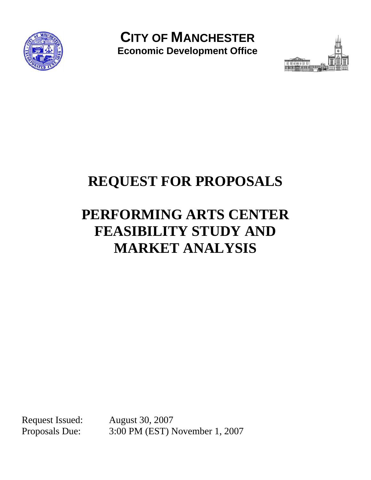

**CITY OF MANCHESTER Economic Development Office** 



# **REQUEST FOR PROPOSALS**

# **PERFORMING ARTS CENTER FEASIBILITY STUDY AND MARKET ANALYSIS**

Request Issued: August 30, 2007

Proposals Due: 3:00 PM (EST) November 1, 2007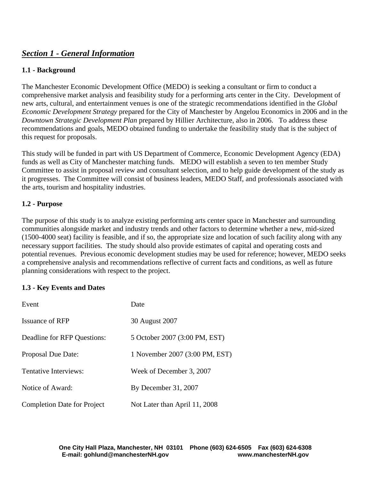# *Section 1 - General Information*

## **1.1 - Background**

The Manchester Economic Development Office (MEDO) is seeking a consultant or firm to conduct a comprehensive market analysis and feasibility study for a performing arts center in the City. Development of new arts, cultural, and entertainment venues is one of the strategic recommendations identified in the *Global Economic Development Strategy* prepared for the City of Manchester by Angelou Economics in 2006 and in the *Downtown Strategic Development Plan* prepared by Hillier Architecture, also in 2006. To address these recommendations and goals, MEDO obtained funding to undertake the feasibility study that is the subject of this request for proposals.

This study will be funded in part with US Department of Commerce, Economic Development Agency (EDA) funds as well as City of Manchester matching funds. MEDO will establish a seven to ten member Study Committee to assist in proposal review and consultant selection, and to help guide development of the study as it progresses. The Committee will consist of business leaders, MEDO Staff, and professionals associated with the arts, tourism and hospitality industries.

#### **1.2 - Purpose**

The purpose of this study is to analyze existing performing arts center space in Manchester and surrounding communities alongside market and industry trends and other factors to determine whether a new, mid-sized (1500-4000 seat) facility is feasible, and if so, the appropriate size and location of such facility along with any necessary support facilities. The study should also provide estimates of capital and operating costs and potential revenues. Previous economic development studies may be used for reference; however, MEDO seeks a comprehensive analysis and recommendations reflective of current facts and conditions, as well as future planning considerations with respect to the project.

#### **1.3 - Key Events and Dates**

| Event                              | Date                           |
|------------------------------------|--------------------------------|
| Issuance of RFP                    | 30 August 2007                 |
| Deadline for RFP Questions:        | 5 October 2007 (3:00 PM, EST)  |
| <b>Proposal Due Date:</b>          | 1 November 2007 (3:00 PM, EST) |
| Tentative Interviews:              | Week of December 3, 2007       |
| Notice of Award:                   | By December $31, 2007$         |
| <b>Completion Date for Project</b> | Not Later than April 11, 2008  |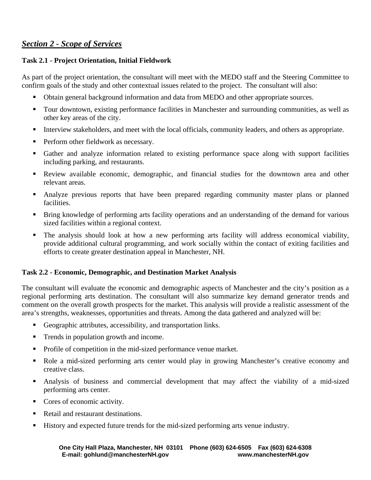# *Section 2 - Scope of Services*

## **Task 2.1 - Project Orientation, Initial Fieldwork**

As part of the project orientation, the consultant will meet with the MEDO staff and the Steering Committee to confirm goals of the study and other contextual issues related to the project. The consultant will also:

- Obtain general background information and data from MEDO and other appropriate sources.
- Tour downtown, existing performance facilities in Manchester and surrounding communities, as well as other key areas of the city.
- Interview stakeholders, and meet with the local officials, community leaders, and others as appropriate.
- **Perform other fieldwork as necessary.**
- Gather and analyze information related to existing performance space along with support facilities including parking, and restaurants.
- Review available economic, demographic, and financial studies for the downtown area and other relevant areas.
- Analyze previous reports that have been prepared regarding community master plans or planned facilities.
- Bring knowledge of performing arts facility operations and an understanding of the demand for various sized facilities within a regional context.
- The analysis should look at how a new performing arts facility will address economical viability, provide additional cultural programming, and work socially within the contact of exiting facilities and efforts to create greater destination appeal in Manchester, NH.

## **Task 2.2 - Economic, Demographic, and Destination Market Analysis**

The consultant will evaluate the economic and demographic aspects of Manchester and the city's position as a regional performing arts destination. The consultant will also summarize key demand generator trends and comment on the overall growth prospects for the market. This analysis will provide a realistic assessment of the area's strengths, weaknesses, opportunities and threats. Among the data gathered and analyzed will be:

- Geographic attributes, accessibility, and transportation links.
- Trends in population growth and income.
- Profile of competition in the mid-sized performance venue market.
- Role a mid-sized performing arts center would play in growing Manchester's creative economy and creative class.
- Analysis of business and commercial development that may affect the viability of a mid-sized performing arts center.
- Cores of economic activity.
- Retail and restaurant destinations.
- History and expected future trends for the mid-sized performing arts venue industry.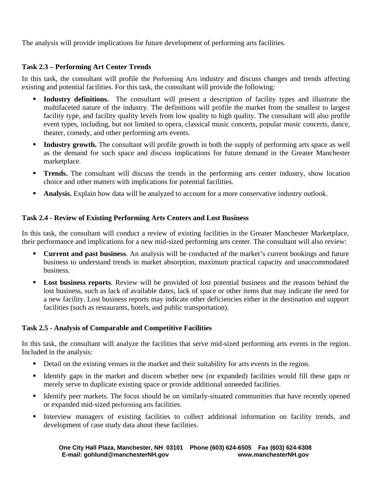The analysis will provide implications for future development of performing arts facilities.

## **Task 2.3 – Performing Art Center Trends**

In this task, the consultant will profile the Performing Arts industry and discuss changes and trends affecting existing and potential facilities. For this task, the consultant will provide the following:

- **Industry definitions.** The consultant will present a description of facility types and illustrate the multifaceted nature of the industry. The definitions will profile the market from the smallest to largest facility type, and facility quality levels from low quality to high quality. The consultant will also profile event types, including, but not limited to opera, classical music concerts, popular music concerts, dance, theater, comedy, and other performing arts events.
- **Industry growth.** The consultant will profile growth in both the supply of performing arts space as well as the demand for such space and discuss implications for future demand in the Greater Manchester marketplace.
- **Trends.** The consultant will discuss the trends in the performing arts center industry, show location choice and other matters with implications for potential facilities.
- **Analysis.** Explain how data will be analyzed to account for a more conservative industry outlook.

## **Task 2.4 - Review of Existing Performing Arts Centers and Lost Business**

In this task, the consultant will conduct a review of existing facilities in the Greater Manchester Marketplace, their performance and implications for a new mid-sized performing arts center. The consultant will also review:

- **Current and past business**. An analysis will be conducted of the market's current bookings and future business to understand trends in market absorption, maximum practical capacity and unaccommodated business.
- **Lost business reports**. Review will be provided of lost potential business and the reasons behind the lost business, such as lack of available dates, lack of space or other items that may indicate the need for a new facility. Lost business reports may indicate other deficiencies either in the destination and support facilities (such as restaurants, hotels, and public transportation).

## **Task 2.5 - Analysis of Comparable and Competitive Facilities**

In this task, the consultant will analyze the facilities that serve mid-sized performing arts events in the region. Included in the analysis:

- Detail on the existing venues in the market and their suitability for arts events in the region.
- Identify gaps in the market and discern whether new (or expanded) facilities would fill these gaps or merely serve to duplicate existing space or provide additional unneeded facilities.
- Identify peer markets. The focus should be on similarly-situated communities that have recently opened or expanded mid-sized performing arts facilities.
- Interview managers of existing facilities to collect additional information on facility trends, and development of case study data about these facilities.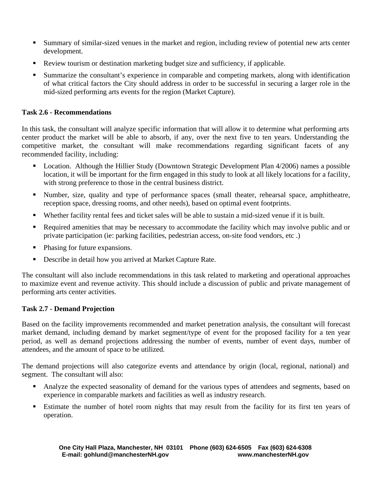- Summary of similar-sized venues in the market and region, including review of potential new arts center development.
- Review tourism or destination marketing budget size and sufficiency, if applicable.
- Summarize the consultant's experience in comparable and competing markets, along with identification of what critical factors the City should address in order to be successful in securing a larger role in the mid-sized performing arts events for the region (Market Capture).

## **Task 2.6 - Recommendations**

In this task, the consultant will analyze specific information that will allow it to determine what performing arts center product the market will be able to absorb, if any, over the next five to ten years. Understanding the competitive market, the consultant will make recommendations regarding significant facets of any recommended facility, including:

- **Location.** Although the Hillier Study (Downtown Strategic Development Plan 4/2006) names a possible location, it will be important for the firm engaged in this study to look at all likely locations for a facility, with strong preference to those in the central business district.
- Number, size, quality and type of performance spaces (small theater, rehearsal space, amphitheatre, reception space, dressing rooms, and other needs), based on optimal event footprints.
- Whether facility rental fees and ticket sales will be able to sustain a mid-sized venue if it is built.
- Required amenities that may be necessary to accommodate the facility which may involve public and or private participation (ie: parking facilities, pedestrian access, on-site food vendors, etc .)
- Phasing for future expansions.
- Describe in detail how you arrived at Market Capture Rate.

The consultant will also include recommendations in this task related to marketing and operational approaches to maximize event and revenue activity. This should include a discussion of public and private management of performing arts center activities.

#### **Task 2.7 - Demand Projection**

Based on the facility improvements recommended and market penetration analysis, the consultant will forecast market demand, including demand by market segment/type of event for the proposed facility for a ten year period, as well as demand projections addressing the number of events, number of event days, number of attendees, and the amount of space to be utilized.

The demand projections will also categorize events and attendance by origin (local, regional, national) and segment. The consultant will also:

- Analyze the expected seasonality of demand for the various types of attendees and segments, based on experience in comparable markets and facilities as well as industry research.
- Estimate the number of hotel room nights that may result from the facility for its first ten years of operation.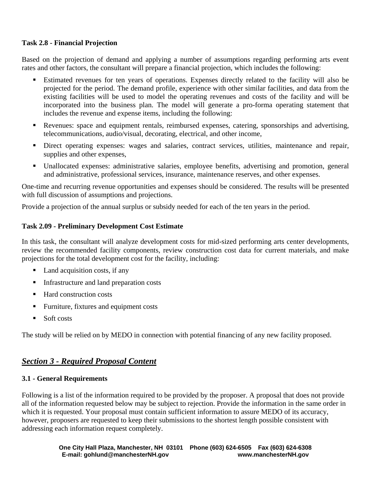#### **Task 2.8 - Financial Projection**

Based on the projection of demand and applying a number of assumptions regarding performing arts event rates and other factors, the consultant will prepare a financial projection, which includes the following:

- Estimated revenues for ten years of operations. Expenses directly related to the facility will also be projected for the period. The demand profile, experience with other similar facilities, and data from the existing facilities will be used to model the operating revenues and costs of the facility and will be incorporated into the business plan. The model will generate a pro-forma operating statement that includes the revenue and expense items, including the following:
- Revenues: space and equipment rentals, reimbursed expenses, catering, sponsorships and advertising, telecommunications, audio/visual, decorating, electrical, and other income,
- Direct operating expenses: wages and salaries, contract services, utilities, maintenance and repair, supplies and other expenses,
- Unallocated expenses: administrative salaries, employee benefits, advertising and promotion, general and administrative, professional services, insurance, maintenance reserves, and other expenses.

One-time and recurring revenue opportunities and expenses should be considered. The results will be presented with full discussion of assumptions and projections.

Provide a projection of the annual surplus or subsidy needed for each of the ten years in the period.

#### **Task 2.09 - Preliminary Development Cost Estimate**

In this task, the consultant will analyze development costs for mid-sized performing arts center developments, review the recommended facility components, review construction cost data for current materials, and make projections for the total development cost for the facility, including:

- Land acquisition costs, if any
- **Infrastructure and land preparation costs**
- Hard construction costs
- **Furniture, fixtures and equipment costs**
- $\blacksquare$  Soft costs

The study will be relied on by MEDO in connection with potential financing of any new facility proposed.

# *Section 3 - Required Proposal Content*

#### **3.1 - General Requirements**

Following is a list of the information required to be provided by the proposer. A proposal that does not provide all of the information requested below may be subject to rejection. Provide the information in the same order in which it is requested. Your proposal must contain sufficient information to assure MEDO of its accuracy, however, proposers are requested to keep their submissions to the shortest length possible consistent with addressing each information request completely.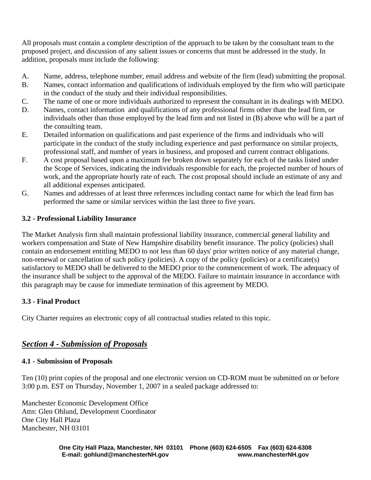All proposals must contain a complete description of the approach to be taken by the consultant team to the proposed project, and discussion of any salient issues or concerns that must be addressed in the study. In addition, proposals must include the following:

- A. Name, address, telephone number, email address and website of the firm (lead) submitting the proposal.
- B. Names, contact information and qualifications of individuals employed by the firm who will participate in the conduct of the study and their individual responsibilities.
- C. The name of one or more individuals authorized to represent the consultant in its dealings with MEDO.
- D. Names, contact information and qualifications of any professional firms other than the lead firm, or individuals other than those employed by the lead firm and not listed in (B) above who will be a part of the consulting team.
- E. Detailed information on qualifications and past experience of the firms and individuals who will participate in the conduct of the study including experience and past performance on similar projects, professional staff, and number of years in business, and proposed and current contract obligations.
- F. A cost proposal based upon a maximum fee broken down separately for each of the tasks listed under the Scope of Services, indicating the individuals responsible for each, the projected number of hours of work, and the appropriate hourly rate of each. The cost proposal should include an estimate of any and all additional expenses anticipated.
- G. Names and addresses of at least three references including contact name for which the lead firm has performed the same or similar services within the last three to five years.

## **3.2 - Professional Liability Insurance**

The Market Analysis firm shall maintain professional liability insurance, commercial general liability and workers compensation and State of New Hampshire disability benefit insurance. The policy (policies) shall contain an endorsement entitling MEDO to not less than 60 days' prior written notice of any material change, non-renewal or cancellation of such policy (policies). A copy of the policy (policies) or a certificate(s) satisfactory to MEDO shall be delivered to the MEDO prior to the commencement of work. The adequacy of the insurance shall be subject to the approval of the MEDO. Failure to maintain insurance in accordance with this paragraph may be cause for immediate termination of this agreement by MEDO.

## **3.3 - Final Product**

City Charter requires an electronic copy of all contractual studies related to this topic.

# *Section 4 - Submission of Proposals*

#### **4.1 - Submission of Proposals**

Ten (10) print copies of the proposal and one electronic version on CD-ROM must be submitted on or before 3:00 p.m. EST on Thursday, November 1, 2007 in a sealed package addressed to:

Manchester Economic Development Office Attn: Glen Ohlund, Development Coordinator One City Hall Plaza Manchester, NH 03101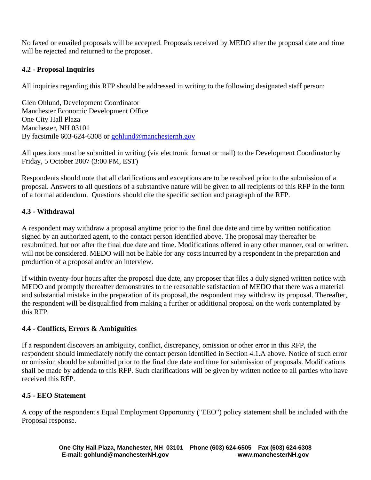No faxed or emailed proposals will be accepted. Proposals received by MEDO after the proposal date and time will be rejected and returned to the proposer.

## **4.2 - Proposal Inquiries**

All inquiries regarding this RFP should be addressed in writing to the following designated staff person:

Glen Ohlund, Development Coordinator Manchester Economic Development Office One City Hall Plaza Manchester, NH 03101 By facsimile 603-624-6308 or [gohlund@manchesternh.gov](mailto:gohlund@manchesternh.gov)

All questions must be submitted in writing (via electronic format or mail) to the Development Coordinator by Friday, 5 October 2007 (3:00 PM, EST)

Respondents should note that all clarifications and exceptions are to be resolved prior to the submission of a proposal. Answers to all questions of a substantive nature will be given to all recipients of this RFP in the form of a formal addendum. Questions should cite the specific section and paragraph of the RFP.

## **4.3 - Withdrawal**

A respondent may withdraw a proposal anytime prior to the final due date and time by written notification signed by an authorized agent, to the contact person identified above. The proposal may thereafter be resubmitted, but not after the final due date and time. Modifications offered in any other manner, oral or written, will not be considered. MEDO will not be liable for any costs incurred by a respondent in the preparation and production of a proposal and/or an interview.

If within twenty-four hours after the proposal due date, any proposer that files a duly signed written notice with MEDO and promptly thereafter demonstrates to the reasonable satisfaction of MEDO that there was a material and substantial mistake in the preparation of its proposal, the respondent may withdraw its proposal. Thereafter, the respondent will be disqualified from making a further or additional proposal on the work contemplated by this RFP.

## **4.4 - Conflicts, Errors & Ambiguities**

If a respondent discovers an ambiguity, conflict, discrepancy, omission or other error in this RFP, the respondent should immediately notify the contact person identified in Section 4.1.A above. Notice of such error or omission should be submitted prior to the final due date and time for submission of proposals. Modifications shall be made by addenda to this RFP. Such clarifications will be given by written notice to all parties who have received this RFP.

#### **4.5 - EEO Statement**

A copy of the respondent's Equal Employment Opportunity ("EEO") policy statement shall be included with the Proposal response.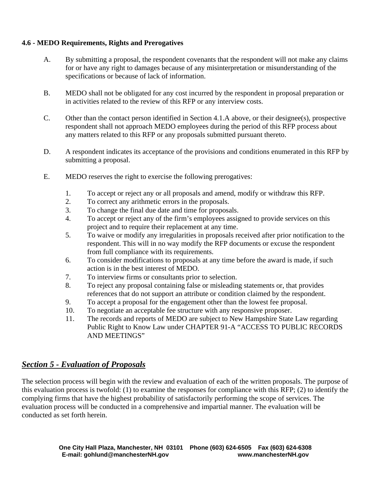## **4.6 - MEDO Requirements, Rights and Prerogatives**

- A. By submitting a proposal, the respondent covenants that the respondent will not make any claims for or have any right to damages because of any misinterpretation or misunderstanding of the specifications or because of lack of information.
- B. MEDO shall not be obligated for any cost incurred by the respondent in proposal preparation or in activities related to the review of this RFP or any interview costs.
- C. Other than the contact person identified in Section 4.1.A above, or their designee(s), prospective respondent shall not approach MEDO employees during the period of this RFP process about any matters related to this RFP or any proposals submitted pursuant thereto.
- D. A respondent indicates its acceptance of the provisions and conditions enumerated in this RFP by submitting a proposal.
- E. MEDO reserves the right to exercise the following prerogatives:
	- 1. To accept or reject any or all proposals and amend, modify or withdraw this RFP.
	- 2. To correct any arithmetic errors in the proposals.
	- 3. To change the final due date and time for proposals.
	- 4. To accept or reject any of the firm's employees assigned to provide services on this project and to require their replacement at any time.
	- 5. To waive or modify any irregularities in proposals received after prior notification to the respondent. This will in no way modify the RFP documents or excuse the respondent from full compliance with its requirements.
	- 6. To consider modifications to proposals at any time before the award is made, if such action is in the best interest of MEDO.
	- 7. To interview firms or consultants prior to selection.
	- 8. To reject any proposal containing false or misleading statements or, that provides references that do not support an attribute or condition claimed by the respondent.
	- 9. To accept a proposal for the engagement other than the lowest fee proposal.
	- 10. To negotiate an acceptable fee structure with any responsive proposer.
	- 11. The records and reports of MEDO are subject to New Hampshire State Law regarding Public Right to Know Law under CHAPTER 91-A "ACCESS TO PUBLIC RECORDS AND MEETINGS"

# *Section 5 - Evaluation of Proposals*

The selection process will begin with the review and evaluation of each of the written proposals. The purpose of this evaluation process is twofold: (1) to examine the responses for compliance with this RFP; (2) to identify the complying firms that have the highest probability of satisfactorily performing the scope of services. The evaluation process will be conducted in a comprehensive and impartial manner. The evaluation will be conducted as set forth herein.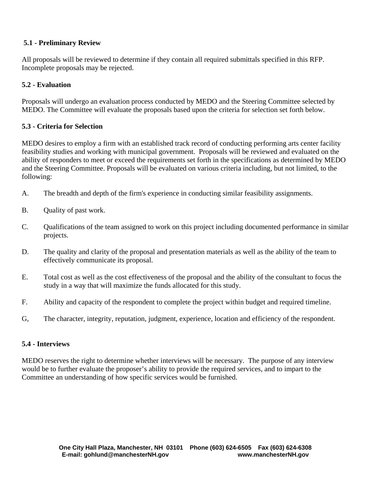## **5.1 - Preliminary Review**

All proposals will be reviewed to determine if they contain all required submittals specified in this RFP. Incomplete proposals may be rejected.

#### **5.2 - Evaluation**

Proposals will undergo an evaluation process conducted by MEDO and the Steering Committee selected by MEDO. The Committee will evaluate the proposals based upon the criteria for selection set forth below.

#### **5.3 - Criteria for Selection**

MEDO desires to employ a firm with an established track record of conducting performing arts center facility feasibility studies and working with municipal government. Proposals will be reviewed and evaluated on the ability of responders to meet or exceed the requirements set forth in the specifications as determined by MEDO and the Steering Committee. Proposals will be evaluated on various criteria including, but not limited, to the following:

- A. The breadth and depth of the firm's experience in conducting similar feasibility assignments.
- B. Quality of past work.
- C. Qualifications of the team assigned to work on this project including documented performance in similar projects.
- D. The quality and clarity of the proposal and presentation materials as well as the ability of the team to effectively communicate its proposal.
- E. Total cost as well as the cost effectiveness of the proposal and the ability of the consultant to focus the study in a way that will maximize the funds allocated for this study.
- F. Ability and capacity of the respondent to complete the project within budget and required timeline.
- G, The character, integrity, reputation, judgment, experience, location and efficiency of the respondent.

#### **5.4 - Interviews**

MEDO reserves the right to determine whether interviews will be necessary. The purpose of any interview would be to further evaluate the proposer's ability to provide the required services, and to impart to the Committee an understanding of how specific services would be furnished.